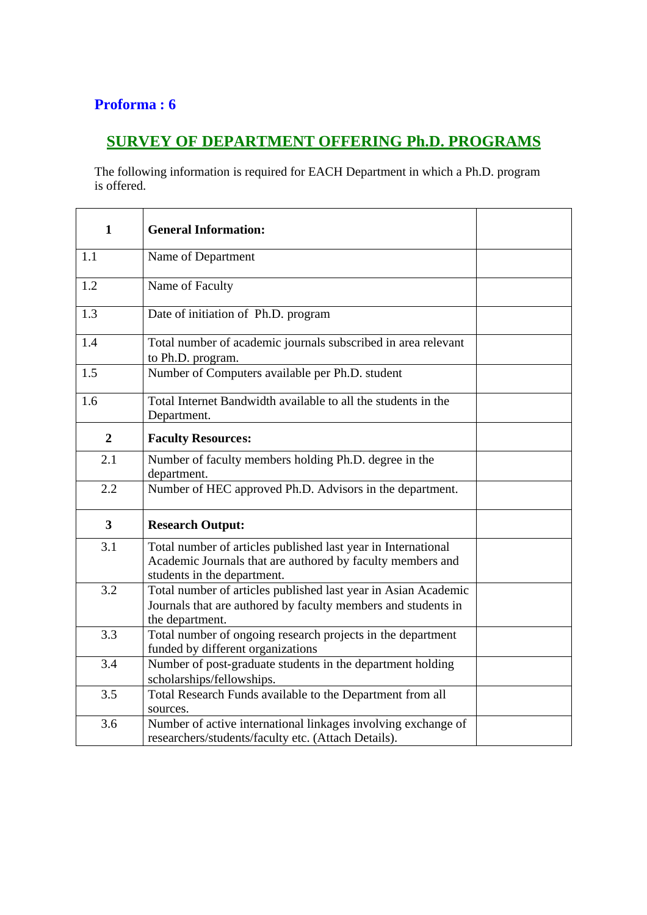## **Proforma : 6**

## **SURVEY OF DEPARTMENT OFFERING Ph.D. PROGRAMS**

The following information is required for EACH Department in which a Ph.D. program is offered.

| $\mathbf{1}$            | <b>General Information:</b>                                                                                                                                |  |
|-------------------------|------------------------------------------------------------------------------------------------------------------------------------------------------------|--|
| 1.1                     | Name of Department                                                                                                                                         |  |
| 1.2                     | Name of Faculty                                                                                                                                            |  |
| 1.3                     | Date of initiation of Ph.D. program                                                                                                                        |  |
| 1.4                     | Total number of academic journals subscribed in area relevant<br>to Ph.D. program.                                                                         |  |
| 1.5                     | Number of Computers available per Ph.D. student                                                                                                            |  |
| 1.6                     | Total Internet Bandwidth available to all the students in the<br>Department.                                                                               |  |
| $\boldsymbol{2}$        | <b>Faculty Resources:</b>                                                                                                                                  |  |
| 2.1                     | Number of faculty members holding Ph.D. degree in the<br>department.                                                                                       |  |
| 2.2                     | Number of HEC approved Ph.D. Advisors in the department.                                                                                                   |  |
| $\overline{\mathbf{3}}$ | <b>Research Output:</b>                                                                                                                                    |  |
| 3.1                     | Total number of articles published last year in International<br>Academic Journals that are authored by faculty members and<br>students in the department. |  |
| 3.2                     | Total number of articles published last year in Asian Academic<br>Journals that are authored by faculty members and students in<br>the department.         |  |
| 3.3                     | Total number of ongoing research projects in the department<br>funded by different organizations                                                           |  |
| 3.4                     | Number of post-graduate students in the department holding<br>scholarships/fellowships.                                                                    |  |
| 3.5                     | Total Research Funds available to the Department from all<br>sources.                                                                                      |  |
| 3.6                     | Number of active international linkages involving exchange of<br>researchers/students/faculty etc. (Attach Details).                                       |  |